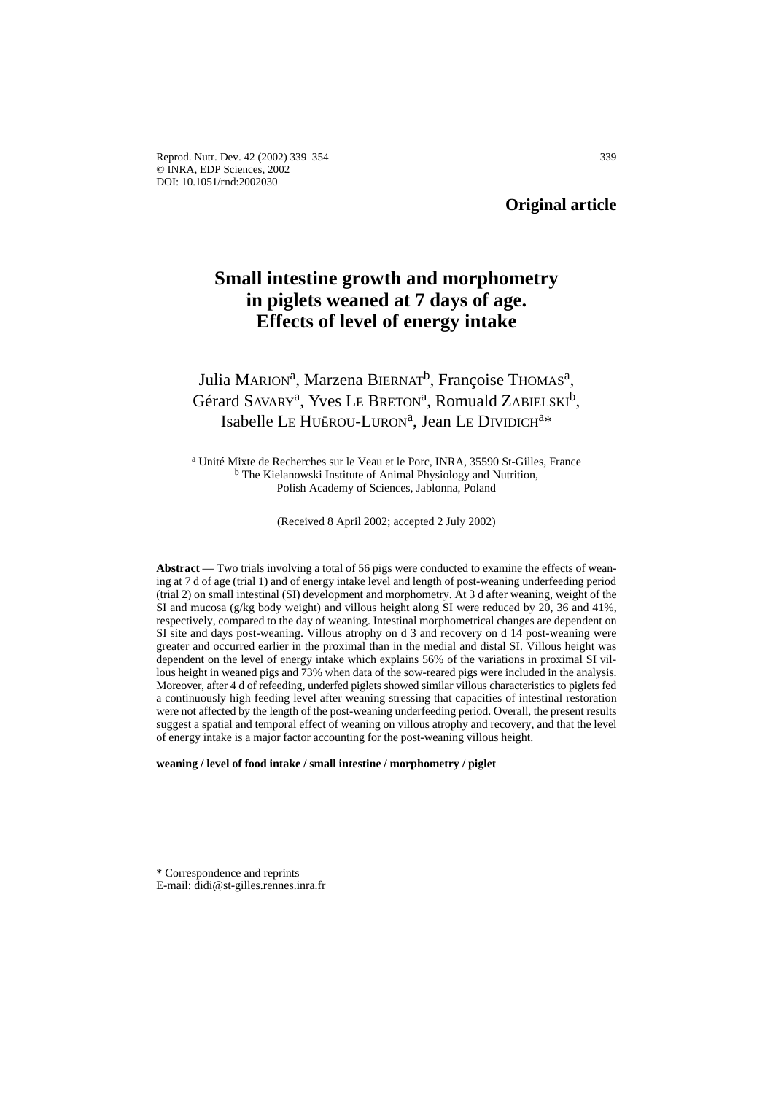Reprod. Nutr. Dev. 42 (2002) 339–354 339 © INRA, EDP Sciences, 2002 DOI: 10.1051/rnd:2002030

**Original article**

# **Small intestine growth and morphometry in piglets weaned at 7 days of age. Effects of level of energy intake**

# Julia MARION<sup>a</sup>, Marzena BIERNAT<sup>b</sup>, Françoise THOMAS<sup>a</sup>, Gérard SAVARY<sup>a</sup>, Yves Le BRETON<sup>a</sup>, Romuald ZABIELSKI<sup>b</sup>, Isabelle LE HUËROU-LURON<sup>a</sup>, Jean LE DIVIDICH<sup>a\*</sup>

<sup>a</sup> Unité Mixte de Recherches sur le Veau et le Porc, INRA, 35590 St-Gilles, France <sup>b</sup> The Kielanowski Institute of Animal Physiology and Nutrition, Polish Academy of Sciences, Jablonna, Poland

(Received 8 April 2002; accepted 2 July 2002)

**Abstract** — Two trials involving a total of 56 pigs were conducted to examine the effects of weaning at 7 d of age (trial 1) and of energy intake level and length of post-weaning underfeeding period (trial 2) on small intestinal (SI) development and morphometry. At 3 d after weaning, weight of the SI and mucosa (g/kg body weight) and villous height along SI were reduced by 20, 36 and 41%, respectively, compared to the day of weaning. Intestinal morphometrical changes are dependent on SI site and days post-weaning. Villous atrophy on d 3 and recovery on d 14 post-weaning were greater and occurred earlier in the proximal than in the medial and distal SI. Villous height was dependent on the level of energy intake which explains 56% of the variations in proximal SI villous height in weaned pigs and 73% when data of the sow-reared pigs were included in the analysis. Moreover, after 4 d of refeeding, underfed piglets showed similar villous characteristics to piglets fed a continuously high feeding level after weaning stressing that capacities of intestinal restoration were not affected by the length of the post-weaning underfeeding period. Overall, the present results suggest a spatial and temporal effect of weaning on villous atrophy and recovery, and that the level of energy intake is a major factor accounting for the post-weaning villous height.

**weaning / level of food intake / small intestine / morphometry / piglet**

<sup>\*</sup> Correspondence and reprints

E-mail: didi@st-gilles.rennes.inra.fr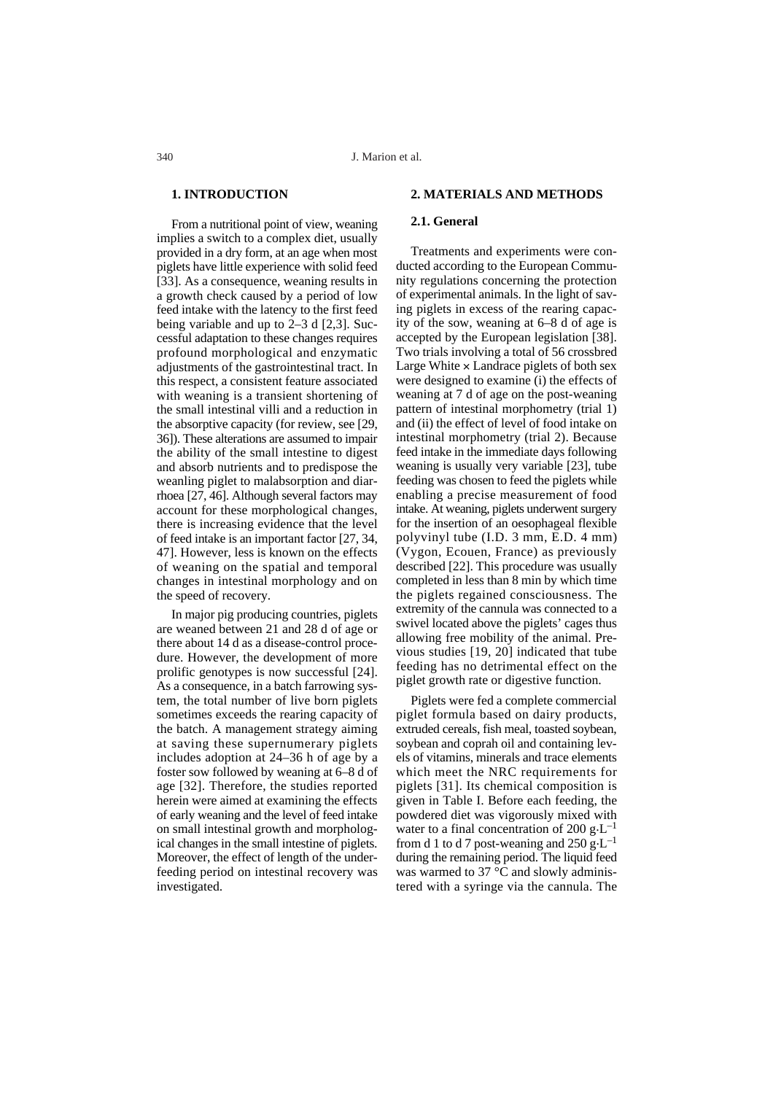# **1. INTRODUCTION**

From a nutritional point of view, weaning implies a switch to a complex diet, usually provided in a dry form, at an age when most piglets have little experience with solid feed [33]. As a consequence, weaning results in a growth check caused by a period of low feed intake with the latency to the first feed being variable and up to 2–3 d [2,3]. Successful adaptation to these changes requires profound morphological and enzymatic adjustments of the gastrointestinal tract. In this respect, a consistent feature associated with weaning is a transient shortening of the small intestinal villi and a reduction in the absorptive capacity (for review, see [29, 36]). These alterations are assumed to impair the ability of the small intestine to digest and absorb nutrients and to predispose the weanling piglet to malabsorption and diarrhoea [27, 46]. Although several factors may account for these morphological changes, there is increasing evidence that the level of feed intake is an important factor [27, 34, 47]. However, less is known on the effects of weaning on the spatial and temporal changes in intestinal morphology and on the speed of recovery.

In major pig producing countries, piglets are weaned between 21 and 28 d of age or there about 14 d as a disease-control procedure. However, the development of more prolific genotypes is now successful [24]. As a consequence, in a batch farrowing system, the total number of live born piglets sometimes exceeds the rearing capacity of the batch. A management strategy aiming at saving these supernumerary piglets includes adoption at 24–36 h of age by a foster sow followed by weaning at 6–8 d of age [32]. Therefore, the studies reported herein were aimed at examining the effects of early weaning and the level of feed intake on small intestinal growth and morphological changes in the small intestine of piglets. Moreover, the effect of length of the underfeeding period on intestinal recovery was investigated.

### **2. MATERIALS AND METHODS**

## **2.1. General**

Treatments and experiments were conducted according to the European Community regulations concerning the protection of experimental animals. In the light of saving piglets in excess of the rearing capacity of the sow, weaning at 6–8 d of age is accepted by the European legislation [38]. Two trials involving a total of 56 crossbred Large White  $\times$  Landrace piglets of both sex were designed to examine (i) the effects of weaning at 7 d of age on the post-weaning pattern of intestinal morphometry (trial 1) and (ii) the effect of level of food intake on intestinal morphometry (trial 2). Because feed intake in the immediate days following weaning is usually very variable [23], tube feeding was chosen to feed the piglets while enabling a precise measurement of food intake. At weaning, piglets underwent surgery for the insertion of an oesophageal flexible polyvinyl tube (I.D. 3 mm, E.D. 4 mm) (Vygon, Ecouen, France) as previously described [22]. This procedure was usually completed in less than 8 min by which time the piglets regained consciousness. The extremity of the cannula was connected to a swivel located above the piglets' cages thus allowing free mobility of the animal. Previous studies [19, 20] indicated that tube feeding has no detrimental effect on the piglet growth rate or digestive function.

Piglets were fed a complete commercial piglet formula based on dairy products, extruded cereals, fish meal, toasted soybean, soybean and coprah oil and containing levels of vitamins, minerals and trace elements which meet the NRC requirements for piglets [31]. Its chemical composition is given in Table I. Before each feeding, the powdered diet was vigorously mixed with water to a final concentration of 200 g $\text{L}^{-1}$ from d 1 to d 7 post-weaning and 250 g.L<sup>-1</sup> during the remaining period. The liquid feed was warmed to 37 $\degree$ C and slowly administered with a syringe via the cannula. The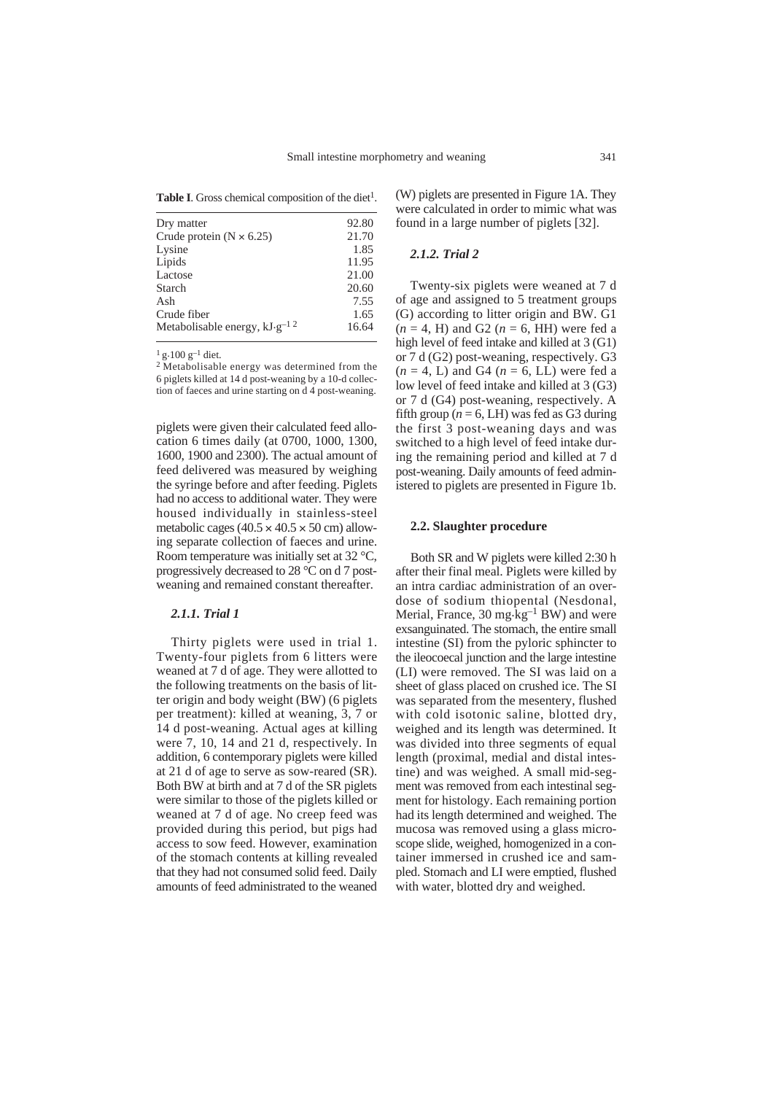|  |  |  | Table I. Gross chemical composition of the diet <sup>1</sup> . |  |  |
|--|--|--|----------------------------------------------------------------|--|--|
|--|--|--|----------------------------------------------------------------|--|--|

| Dry matter                          | 92.80 |
|-------------------------------------|-------|
| Crude protein ( $N \times 6.25$ )   | 21.70 |
| Lysine                              | 1.85  |
| Lipids                              | 11.95 |
| Lactose                             | 21.00 |
| Starch                              | 20.60 |
| Ash                                 | 7.55  |
| Crude fiber                         | 1.65  |
| Metabolisable energy, $kJ·g^{-1/2}$ | 16.64 |
|                                     |       |

 $\frac{1}{2}$  g·100 g<sup>-1</sup> diet.<br><sup>2</sup> Metabolisable energy was determined from the 6 piglets killed at 14 d post-weaning by a 10-d collection of faeces and urine starting on d 4 post-weaning.

piglets were given their calculated feed allocation 6 times daily (at 0700, 1000, 1300, 1600, 1900 and 2300). The actual amount of feed delivered was measured by weighing the syringe before and after feeding. Piglets had no access to additional water. They were housed individually in stainless-steel metabolic cages  $(40.5 \times 40.5 \times 50 \text{ cm})$  allowing separate collection of faeces and urine. Room temperature was initially set at 32 °C, progressively decreased to 28 °C on d 7 postweaning and remained constant thereafter.

# *2.1.1. Trial 1*

Thirty piglets were used in trial 1. Twenty-four piglets from 6 litters were weaned at 7 d of age. They were allotted to the following treatments on the basis of litter origin and body weight (BW) (6 piglets per treatment): killed at weaning, 3, 7 or 14 d post-weaning. Actual ages at killing were 7, 10, 14 and 21 d, respectively. In addition, 6 contemporary piglets were killed at 21 d of age to serve as sow-reared (SR). Both BW at birth and at 7 d of the SR piglets were similar to those of the piglets killed or weaned at 7 d of age. No creep feed was provided during this period, but pigs had access to sow feed. However, examination of the stomach contents at killing revealed that they had not consumed solid feed. Daily amounts of feed administrated to the weaned (W) piglets are presented in Figure 1A. They were calculated in order to mimic what was found in a large number of piglets [32].

#### *2.1.2. Trial 2*

Twenty-six piglets were weaned at 7 d of age and assigned to 5 treatment groups (G) according to litter origin and BW. G1  $(n = 4, H)$  and G2  $(n = 6, H)$  were fed a high level of feed intake and killed at 3 (G1) or 7 d (G2) post-weaning, respectively. G3  $(n = 4, L)$  and G4  $(n = 6, LL)$  were fed a low level of feed intake and killed at 3 (G3) or 7 d (G4) post-weaning, respectively. A fifth group ( $n = 6$ , LH) was fed as G3 during the first 3 post-weaning days and was switched to a high level of feed intake during the remaining period and killed at 7 d post-weaning. Daily amounts of feed administered to piglets are presented in Figure 1b.

#### **2.2. Slaughter procedure**

Both SR and W piglets were killed 2:30 h after their final meal. Piglets were killed by an intra cardiac administration of an overdose of sodium thiopental (Nesdonal, Merial, France, 30 mg $\text{kg}^{-1}$  BW) and were exsanguinated. The stomach, the entire small intestine (SI) from the pyloric sphincter to the ileocoecal junction and the large intestine (LI) were removed. The SI was laid on a sheet of glass placed on crushed ice. The SI was separated from the mesentery, flushed with cold isotonic saline, blotted dry, weighed and its length was determined. It was divided into three segments of equal length (proximal, medial and distal intestine) and was weighed. A small mid-segment was removed from each intestinal segment for histology. Each remaining portion had its length determined and weighed. The mucosa was removed using a glass microscope slide, weighed, homogenized in a container immersed in crushed ice and sampled. Stomach and LI were emptied, flushed with water, blotted dry and weighed.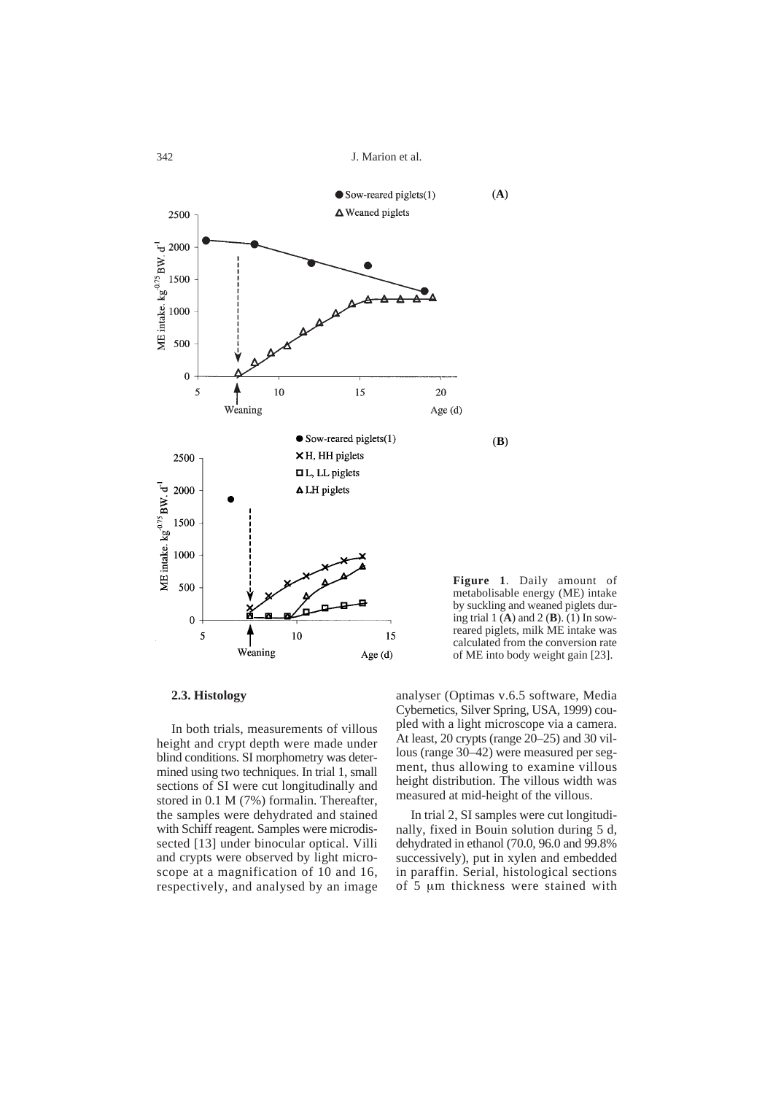J. Marion et al.



**Figure 1**. Daily amount of metabolisable energy (ME) intake by suckling and weaned piglets during trial 1 (**A**) and 2 (**B**). (1) In sowreared piglets, milk ME intake was calculated from the conversion rate of ME into body weight gain [23].

#### **2.3. Histology**

In both trials, measurements of villous height and crypt depth were made under blind conditions. SI morphometry was determined using two techniques. In trial 1, small sections of SI were cut longitudinally and stored in 0.1 M (7%) formalin. Thereafter, the samples were dehydrated and stained with Schiff reagent. Samples were microdissected [13] under binocular optical. Villi and crypts were observed by light microscope at a magnification of 10 and 16, respectively, and analysed by an image

analyser (Optimas v.6.5 software, Media Cybernetics, Silver Spring, USA, 1999) coupled with a light microscope via a camera. At least, 20 crypts (range 20–25) and 30 villous (range 30–42) were measured per segment, thus allowing to examine villous height distribution. The villous width was measured at mid-height of the villous.

In trial 2, SI samples were cut longitudinally, fixed in Bouin solution during 5 d, dehydrated in ethanol (70.0, 96.0 and 99.8% successively), put in xylen and embedded in paraffin. Serial, histological sections of 5 µm thickness were stained with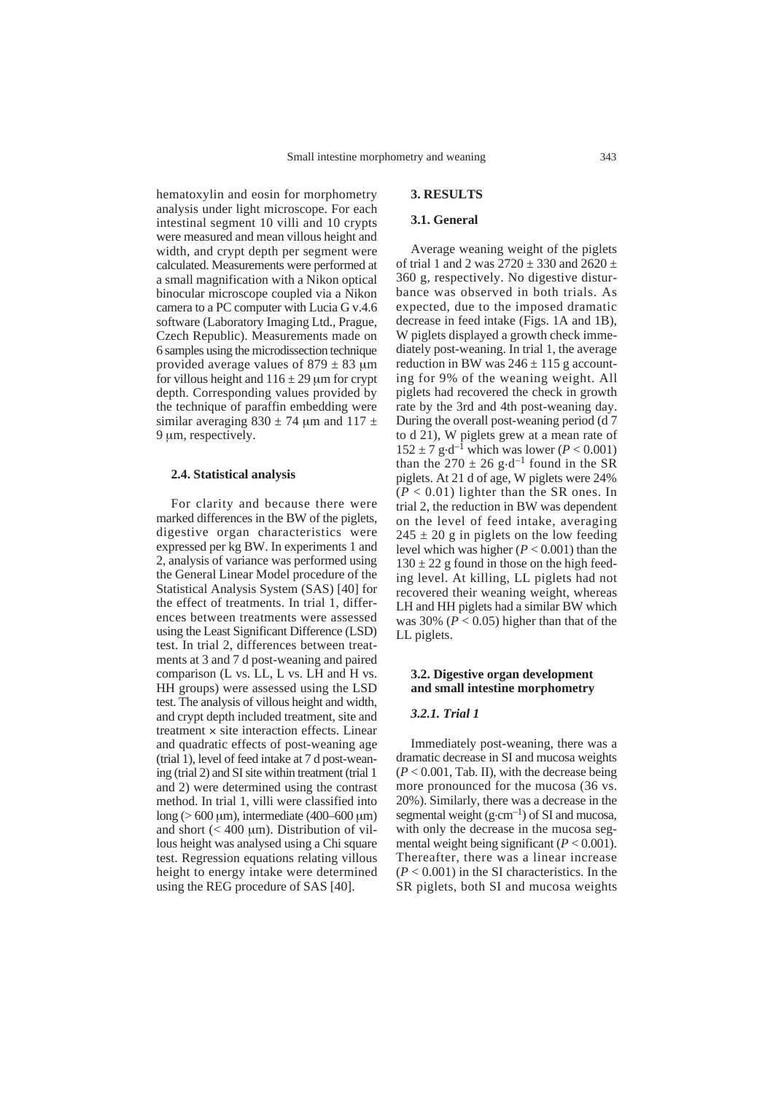hematoxylin and eosin for morphometry analysis under light microscope. For each intestinal segment 10 villi and 10 crypts were measured and mean villous height and width, and crypt depth per segment were calculated. Measurements were performed at a small magnification with a Nikon optical binocular microscope coupled via a Nikon camera to a PC computer with Lucia G v.4.6 software (Laboratory Imaging Ltd., Prague, Czech Republic). Measurements made on 6 samples using the microdissection technique provided average values of  $879 \pm 83$  um for villous height and  $116 \pm 29$  µm for crypt depth. Corresponding values provided by the technique of paraffin embedding were similar averaging  $830 \pm 74$  µm and  $117 \pm 7$ 9 µm, respectively.

#### **2.4. Statistical analysis**

For clarity and because there were marked differences in the BW of the piglets, digestive organ characteristics were expressed per kg BW. In experiments 1 and 2, analysis of variance was performed using the General Linear Model procedure of the Statistical Analysis System (SAS) [40] for the effect of treatments. In trial 1, differences between treatments were assessed using the Least Significant Difference (LSD) test. In trial 2, differences between treatments at 3 and 7 d post-weaning and paired comparison (L vs. LL, L vs. LH and H vs. HH groups) were assessed using the LSD test. The analysis of villous height and width, and crypt depth included treatment, site and treatment  $\times$  site interaction effects. Linear and quadratic effects of post-weaning age (trial 1), level of feed intake at 7 d post-weaning (trial 2) and SI site within treatment (trial 1 and 2) were determined using the contrast method. In trial 1, villi were classified into long ( $>600 \text{ }\mu\text{m}$ ), intermediate (400–600  $\mu\text{m}$ ) and short  $(< 400 \text{ }\mu\text{m})$ . Distribution of villous height was analysed using a Chi square test. Regression equations relating villous height to energy intake were determined using the REG procedure of SAS [40].

# **3. RESULTS**

## **3.1. General**

Average weaning weight of the piglets of trial 1 and 2 was  $2720 \pm 330$  and  $2620 \pm 1$ 360 g, respectively. No digestive disturbance was observed in both trials. As expected, due to the imposed dramatic decrease in feed intake (Figs. 1A and 1B), W piglets displayed a growth check immediately post-weaning. In trial 1, the average reduction in BW was  $246 \pm 115$  g accounting for 9% of the weaning weight. All piglets had recovered the check in growth rate by the 3rd and 4th post-weaning day. During the overall post-weaning period (d 7 to d 21), W piglets grew at a mean rate of  $152 \pm 7$  g·d<sup>-1</sup> which was lower (*P* < 0.001) than the 270  $\pm$  26 g $\cdot$ d<sup>-1</sup> found in the SR piglets. At 21 d of age, W piglets were 24%  $(P < 0.01)$  lighter than the SR ones. In trial 2, the reduction in BW was dependent on the level of feed intake, averaging  $245 \pm 20$  g in piglets on the low feeding level which was higher (*P* < 0.001) than the  $130 \pm 22$  g found in those on the high feeding level. At killing, LL piglets had not recovered their weaning weight, whereas LH and HH piglets had a similar BW which was  $30\%$  ( $P < 0.05$ ) higher than that of the LL piglets.

# **3.2. Digestive organ development and small intestine morphometry**

#### *3.2.1. Trial 1*

Immediately post-weaning, there was a dramatic decrease in SI and mucosa weights  $(P < 0.001$ , Tab. II), with the decrease being more pronounced for the mucosa (36 vs. 20%). Similarly, there was a decrease in the segmental weight  $(g\text{-}cm^{-1})$  of SI and mucosa, with only the decrease in the mucosa segmental weight being significant (*P* < 0.001). Thereafter, there was a linear increase  $(P < 0.001)$  in the SI characteristics. In the SR piglets, both SI and mucosa weights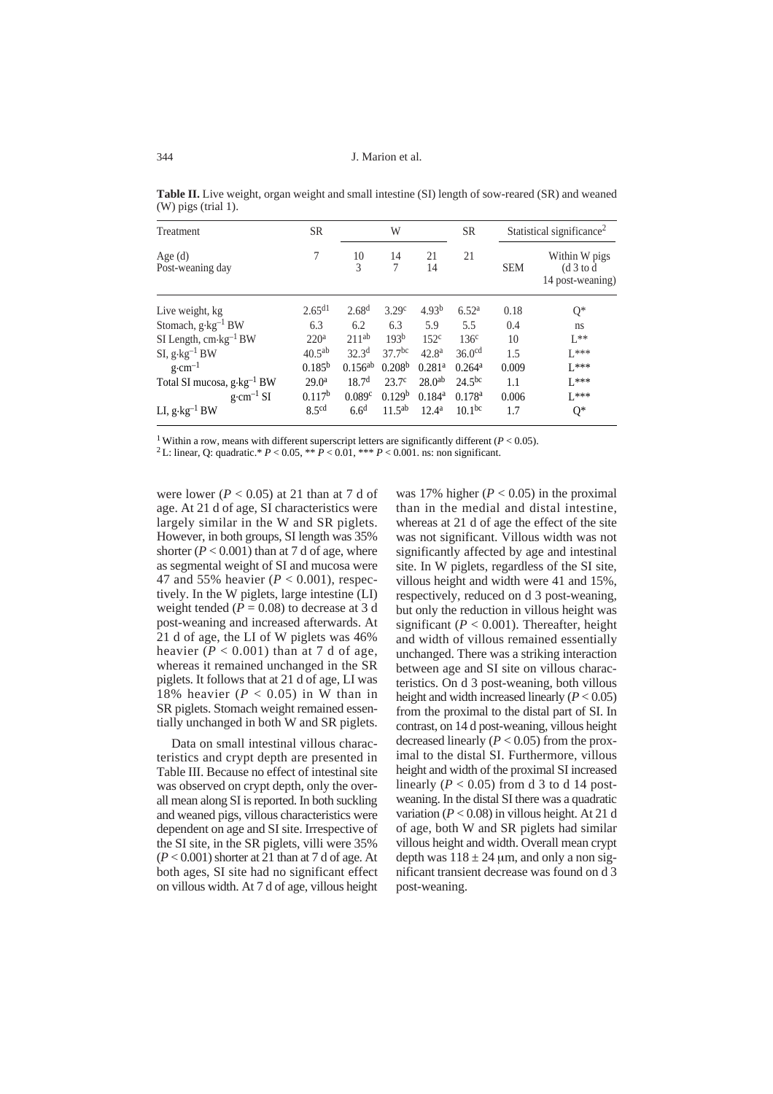J. Marion et al.

| Treatment                              | <b>SR</b>          |                   | W                  |                      | <b>SR</b>            |            | Statistical significance <sup>2</sup>           |
|----------------------------------------|--------------------|-------------------|--------------------|----------------------|----------------------|------------|-------------------------------------------------|
| Age (d)<br>Post-weaning day            | 7                  | 10<br>3           | 14<br>7            | 21<br>14             | 21                   | <b>SEM</b> | Within W pigs<br>(d 3 to d)<br>14 post-weaning) |
| Live weight, kg                        | $2.65^{d1}$        | 2.68 <sup>d</sup> | 3.29 <sup>c</sup>  | 4.93 <sup>b</sup>    | 6.52 <sup>a</sup>    | 0.18       | $Q^*$                                           |
| Stomach, g·kg <sup>-1</sup> BW         | 6.3                | 6.2               | 6.3                | 5.9                  | 5.5                  | 0.4        | ns.                                             |
| SI Length, $cm \cdot kg^{-1}BW$        | 220 <sup>a</sup>   | 211ab             | 193 <sup>b</sup>   | 152 <sup>c</sup>     | 136 <sup>c</sup>     | 10         | $I^*$                                           |
| SI, g $\cdot$ kg $^{-1}$ BW            | $40.5^{ab}$        | 32.3 <sup>d</sup> | $37.7^{bc}$        | 42.8 <sup>a</sup>    | 36.0 <sup>cd</sup>   | 1.5        | $1***$                                          |
| $g \cdot cm^{-1}$                      | $0.185^{b}$        | $0.156^{ab}$      | 0.208 <sup>b</sup> | $0.281$ <sup>a</sup> | $0.264$ <sup>a</sup> | 0.009      | $1.***$                                         |
| Total SI mucosa, g·kg <sup>-1</sup> BW | 29.0 <sup>a</sup>  | 18.7 <sup>d</sup> | 23.7 <sup>c</sup>  | 28.0 <sup>ab</sup>   | 24.5 <sup>bc</sup>   | 1.1        | $1***$                                          |
| $g \cdot cm^{-1} SI$                   | 0.117 <sup>b</sup> | 0.089c            | 0.129 <sup>b</sup> | $0.184$ <sup>a</sup> | 0.178 <sup>a</sup>   | 0.006      | $1***$                                          |
| LI, g $\cdot$ kg $^{-1}$ BW            | 8.5 <sup>cd</sup>  | 6.6 <sup>d</sup>  | 11.5 <sup>ab</sup> | $12.4^{\rm a}$       | $10.1^{bc}$          | 1.7        | $Q^*$                                           |
|                                        |                    |                   |                    |                      |                      |            |                                                 |

**Table II.** Live weight, organ weight and small intestine (SI) length of sow-reared (SR) and weaned (W) pigs (trial 1).

<sup>1</sup> Within a row, means with different superscript letters are significantly different (*P* < 0.05). <sup>2</sup> L: linear, O: quadratic.\* *P* < 0.05, \*\* *P* < 0.01, \*\*\* *P* < 0.001, ns: non significant.

were lower ( $P < 0.05$ ) at 21 than at 7 d of age. At 21 d of age, SI characteristics were largely similar in the W and SR piglets. However, in both groups, SI length was 35% shorter  $(P < 0.001)$  than at 7 d of age, where as segmental weight of SI and mucosa were 47 and 55% heavier (*P* < 0.001), respectively. In the W piglets, large intestine (LI) weight tended  $(P = 0.08)$  to decrease at 3 d post-weaning and increased afterwards. At 21 d of age, the LI of W piglets was 46% heavier  $(P < 0.001)$  than at 7 d of age, whereas it remained unchanged in the SR piglets. It follows that at 21 d of age, LI was 18% heavier  $(P < 0.05)$  in W than in SR piglets. Stomach weight remained essentially unchanged in both W and SR piglets.

Data on small intestinal villous characteristics and crypt depth are presented in Table III. Because no effect of intestinal site was observed on crypt depth, only the overall mean along SI is reported. In both suckling and weaned pigs, villous characteristics were dependent on age and SI site. Irrespective of the SI site, in the SR piglets, villi were 35%  $(P < 0.001)$  shorter at 21 than at 7 d of age. At both ages, SI site had no significant effect on villous width. At 7 d of age, villous height

was 17% higher  $(P < 0.05)$  in the proximal than in the medial and distal intestine, whereas at 21 d of age the effect of the site was not significant. Villous width was not significantly affected by age and intestinal site. In W piglets, regardless of the SI site, villous height and width were 41 and 15%, respectively, reduced on d 3 post-weaning, but only the reduction in villous height was significant ( $P < 0.001$ ). Thereafter, height and width of villous remained essentially unchanged. There was a striking interaction between age and SI site on villous characteristics. On d 3 post-weaning, both villous height and width increased linearly  $(P < 0.05)$ from the proximal to the distal part of SI. In contrast, on 14 d post-weaning, villous height decreased linearly  $(P < 0.05)$  from the proximal to the distal SI. Furthermore, villous height and width of the proximal SI increased linearly ( $P < 0.05$ ) from d 3 to d 14 postweaning. In the distal SI there was a quadratic variation  $(P < 0.08)$  in villous height. At 21 d of age, both W and SR piglets had similar villous height and width. Overall mean crypt depth was  $118 \pm 24$  um, and only a non significant transient decrease was found on d 3 post-weaning.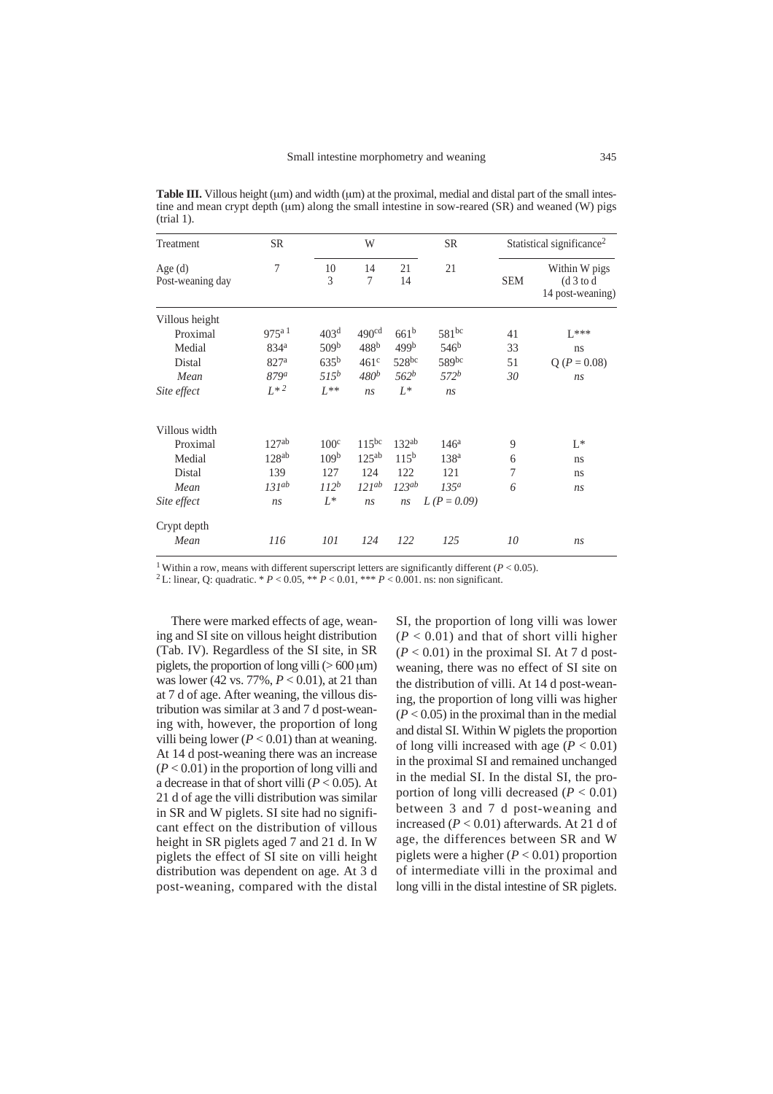**Table III.** Villous height (um) and width (um) at the proximal, medial and distal part of the small intestine and mean crypt depth (µm) along the small intestine in sow-reared (SR) and weaned (W) pigs (trial 1).

| Treatment                     | <b>SR</b>              |                  | W                 |                  | <b>SR</b>        |            | Statistical significance <sup>2</sup>           |
|-------------------------------|------------------------|------------------|-------------------|------------------|------------------|------------|-------------------------------------------------|
| Age $(d)$<br>Post-weaning day | 7                      | 10<br>3          | 14<br>7           | 21<br>14         | 21               | <b>SEM</b> | Within W pigs<br>(d 3 to d)<br>14 post-weaning) |
| Villous height                |                        |                  |                   |                  |                  |            |                                                 |
| Proximal                      | $975^{a}$ <sup>1</sup> | 403 <sup>d</sup> | 490 <sup>cd</sup> | $661^{\rm b}$    | $581^{bc}$       | 41         | $L***$                                          |
| Medial                        | 834 <sup>a</sup>       | 509 <sup>b</sup> | 488 <sup>b</sup>  | 499 <sup>b</sup> | 546 <sup>b</sup> | 33         | ns                                              |
| Distal                        | 827 <sup>a</sup>       | $635^{b}$        | 461 <sup>c</sup>  | 528bc            | 589bc            | 51         | $Q (P = 0.08)$                                  |
| Mean                          | 879a                   | $515^b$          | 480 <sup>b</sup>  | 562 <sup>b</sup> | $572^b$          | 30         | ns                                              |
| Site effect                   | $L^{*2}$               | $L^{**}$         | ns                | $L^*$            | ns               |            |                                                 |
| Villous width                 |                        |                  |                   |                  |                  |            |                                                 |
| Proximal                      | 127 <sup>ab</sup>      | 100 <sup>c</sup> | $115^{bc}$        | $132^{ab}$       | 146 <sup>a</sup> | 9          | $L^*$                                           |
| Medial                        | $128^{ab}$             | 109 <sup>b</sup> | $125^{ab}$        | $115^{b}$        | 138 <sup>a</sup> | 6          | ns                                              |
| Distal                        | 139                    | 127              | 124               | 122              | 121              | 7          | ns                                              |
| Mean                          | $131^{ab}$             | $112^b$          | $121^{ab}$        | $123^{ab}$       | $135^a$          | 6          | ns                                              |
| Site effect                   | ns                     | $L^*$            | ns                | ns               | $L (P = 0.09)$   |            |                                                 |
| Crypt depth                   |                        |                  |                   |                  |                  |            |                                                 |
| Mean                          | 116                    | 101              | 124               | 122              | 125              | 10         | ns                                              |

<sup>1</sup> Within a row, means with different superscript letters are significantly different ( $P < 0.05$ ).<br><sup>2</sup> L: linear, Q: quadratic. \*  $P < 0.05$ , \*\*  $P < 0.01$ , \*\*\*  $P < 0.001$ . ns: non significant.

There were marked effects of age, weaning and SI site on villous height distribution (Tab. IV). Regardless of the SI site, in SR piglets, the proportion of long villi ( $>600 \,\mu m$ ) was lower (42 vs. 77%, *P* < 0.01), at 21 than at 7 d of age. After weaning, the villous distribution was similar at 3 and 7 d post-weaning with, however, the proportion of long villi being lower ( $P < 0.01$ ) than at weaning. At 14 d post-weaning there was an increase (*P* < 0.01) in the proportion of long villi and a decrease in that of short villi (*P* < 0.05). At 21 d of age the villi distribution was similar in SR and W piglets. SI site had no significant effect on the distribution of villous height in SR piglets aged 7 and 21 d. In W piglets the effect of SI site on villi height distribution was dependent on age. At 3 d post-weaning, compared with the distal SI, the proportion of long villi was lower  $(P < 0.01)$  and that of short villi higher  $(P < 0.01)$  in the proximal SI. At 7 d postweaning, there was no effect of SI site on the distribution of villi. At 14 d post-weaning, the proportion of long villi was higher  $(P < 0.05)$  in the proximal than in the medial and distal SI. Within W piglets the proportion of long villi increased with age  $(P < 0.01)$ in the proximal SI and remained unchanged in the medial SI. In the distal SI, the proportion of long villi decreased  $(P < 0.01)$ between 3 and 7 d post-weaning and increased  $(P < 0.01)$  afterwards. At 21 d of age, the differences between SR and W piglets were a higher  $(P < 0.01)$  proportion of intermediate villi in the proximal and long villi in the distal intestine of SR piglets.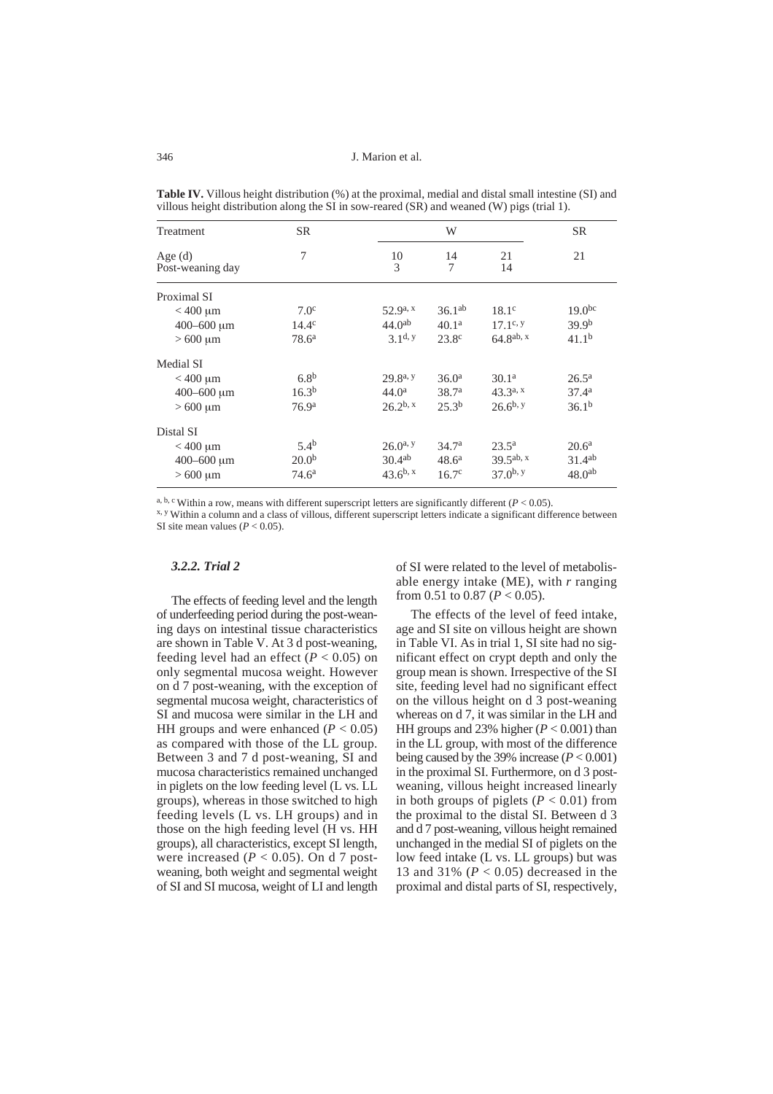| Treatment                     | <b>SR</b>         |                      | W                 |                    | SR.                |
|-------------------------------|-------------------|----------------------|-------------------|--------------------|--------------------|
| Age $(d)$<br>Post-weaning day | 7                 | 10<br>3              | 14<br>7           | 21<br>14           | 21                 |
| Proximal SI                   |                   |                      |                   |                    |                    |
| $<$ 400 $\mu$ m               | 7.0 <sup>c</sup>  | $52.9a$ , x          | $36.1^{ab}$       | 18.1 <sup>c</sup>  | 19.0 <sup>bc</sup> |
| $400 - 600 \mu m$             | $14.4^{\circ}$    | 44.0 <sup>ab</sup>   | 40.1 <sup>a</sup> | $17.1^{\rm c}$ , y | 39.9 <sup>b</sup>  |
| $>600 \mu m$                  | $78.6^{\rm a}$    | $3.1d$ , y           | 23.8 <sup>c</sup> | $64.8^{ab, x}$     | 41.1 <sup>b</sup>  |
| Medial SI                     |                   |                      |                   |                    |                    |
| $<$ 400 $\mu$ m               | 6.8 <sup>b</sup>  | 29.8 <sup>a, y</sup> | 36.0 <sup>a</sup> | 30.1 <sup>a</sup>  | $26.5^{\rm a}$     |
| $400 - 600 \mu m$             | $16.3^{b}$        | 44.0 <sup>a</sup>    | 38.7 <sup>a</sup> | $43.3^{a, x}$      | 37.4 <sup>a</sup>  |
| $>600 \mu m$                  | 76.9 <sup>a</sup> | $26.2^{b, x}$        | $25.3^{b}$        | $26.6^{b, y}$      | 36.1 <sup>b</sup>  |
| Distal SI                     |                   |                      |                   |                    |                    |
| $<$ 400 $\mu$ m               | $5.4^{b}$         | $26.0^{a}$           | 34.7 <sup>a</sup> | $23.5^{\rm a}$     | 20.6 <sup>a</sup>  |
| $400 - 600 \mu m$             | 20.0 <sup>b</sup> | 30.4 <sup>ab</sup>   | $48.6^{\rm a}$    | $39.5^{ab}$ , x    | 31.4 <sup>ab</sup> |
| $>600 \mu m$                  | 74.6 <sup>a</sup> | $43.6^{b, x}$        | 16.7 <sup>c</sup> | $37.0^{b}$         | 48.0 <sup>ab</sup> |

**Table IV.** Villous height distribution (%) at the proximal, medial and distal small intestine (SI) and villous height distribution along the SI in sow-reared (SR) and weaned (W) pigs (trial 1).

a, b, c Within a row, means with different superscript letters are significantly different  $(P < 0.05)$ .<br><sup>x, y</sup> Within a column and a class of villous, different superscript letters indicate a significant difference between SI site mean values  $(P < 0.05)$ .

# *3.2.2. Trial 2*

The effects of feeding level and the length of underfeeding period during the post-weaning days on intestinal tissue characteristics are shown in Table V. At 3 d post-weaning, feeding level had an effect ( $P < 0.05$ ) on only segmental mucosa weight. However on d 7 post-weaning, with the exception of segmental mucosa weight, characteristics of SI and mucosa were similar in the LH and HH groups and were enhanced  $(P < 0.05)$ as compared with those of the LL group. Between 3 and 7 d post-weaning, SI and mucosa characteristics remained unchanged in piglets on the low feeding level (L vs. LL groups), whereas in those switched to high feeding levels (L vs. LH groups) and in those on the high feeding level (H vs. HH groups), all characteristics, except SI length, were increased ( $P < 0.05$ ). On d 7 postweaning, both weight and segmental weight of SI and SI mucosa, weight of LI and length

of SI were related to the level of metabolisable energy intake (ME), with *r* ranging from 0.51 to 0.87 (*P* < 0.05).

The effects of the level of feed intake, age and SI site on villous height are shown in Table VI. As in trial 1, SI site had no significant effect on crypt depth and only the group mean is shown. Irrespective of the SI site, feeding level had no significant effect on the villous height on d 3 post-weaning whereas on d 7, it was similar in the LH and HH groups and 23% higher  $(P < 0.001)$  than in the LL group, with most of the difference being caused by the 39% increase (*P* < 0.001) in the proximal SI. Furthermore, on d 3 postweaning, villous height increased linearly in both groups of piglets ( $P < 0.01$ ) from the proximal to the distal SI. Between d 3 and d 7 post-weaning, villous height remained unchanged in the medial SI of piglets on the low feed intake (L vs. LL groups) but was 13 and 31% (*P* < 0.05) decreased in the proximal and distal parts of SI, respectively,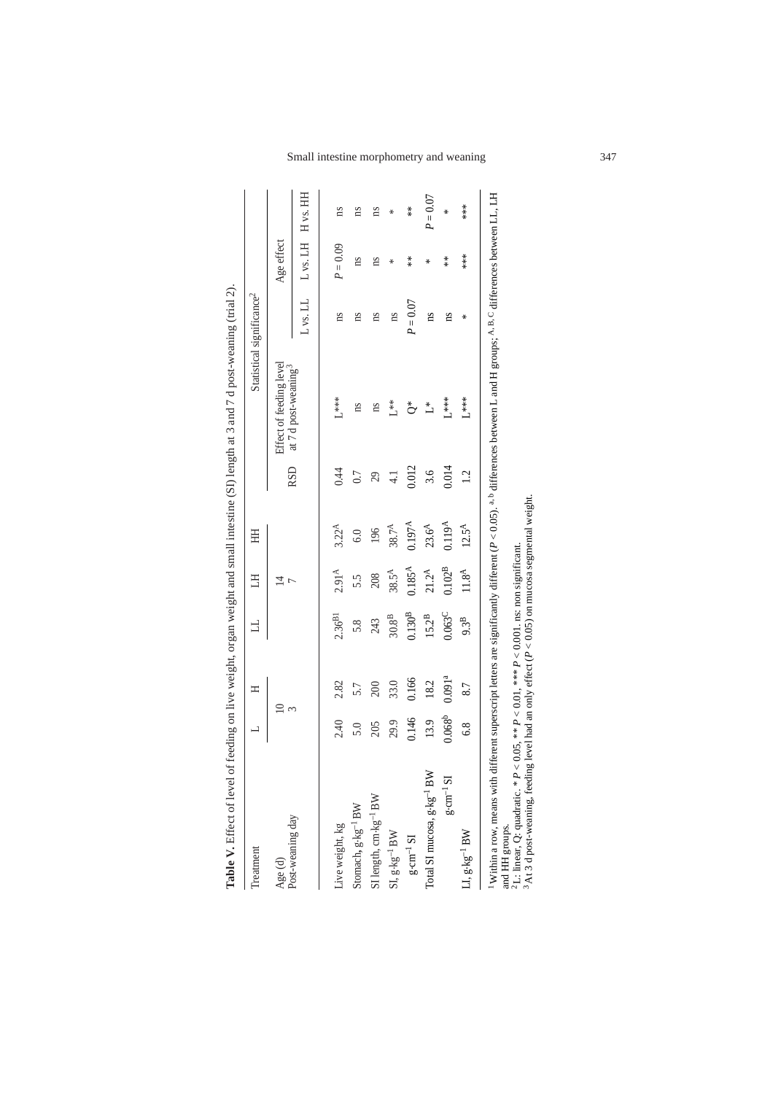| Ty rence A transportance in the second control of the state of the state of the state of the state of the state of the state of the state of the state of the state of the state of the state of the state of the state of the                                                                                                                                                                                                                  |             |                    |                               |                             |                    |               |                                  |                                       |                      |            |
|-------------------------------------------------------------------------------------------------------------------------------------------------------------------------------------------------------------------------------------------------------------------------------------------------------------------------------------------------------------------------------------------------------------------------------------------------|-------------|--------------------|-------------------------------|-----------------------------|--------------------|---------------|----------------------------------|---------------------------------------|----------------------|------------|
| Treatment                                                                                                                                                                                                                                                                                                                                                                                                                                       | 凵           | Ξ                  | ュ                             | H                           | HH                 |               |                                  | Statistical significance <sup>2</sup> |                      |            |
| Age (d)                                                                                                                                                                                                                                                                                                                                                                                                                                         |             | $\supseteq$<br>3   |                               | $\vec{v}$<br>$\overline{ }$ |                    | <b>RSD</b>    | Effect of feeding level          |                                       | Age effect           |            |
| Post-weaning day                                                                                                                                                                                                                                                                                                                                                                                                                                |             |                    |                               |                             |                    |               | at 7 d post-weaning <sup>3</sup> | L vs. LL                              | $\mathbf{L}$ vs. LH  | H vs. HH   |
| Live weight, kg                                                                                                                                                                                                                                                                                                                                                                                                                                 | 2.40        | 2.82               | $2.36^{B1}$                   | 2.91 <sup>A</sup>           | $3.22^A$           | 0.44          | $L***$                           | ns                                    | $P = 0.09$           | ns         |
| Stomach, g-kg <sup>-1</sup> BW                                                                                                                                                                                                                                                                                                                                                                                                                  | 5.0         | 5.7                | 5.8                           | 5.5                         | 6.0                | 0.7           | m                                | ns                                    | ns                   | ns         |
| SI length, $cm \cdot kg^{-1}BW$                                                                                                                                                                                                                                                                                                                                                                                                                 | 205         | 200                | 243                           | 208                         | 196                | 29            | ns                               | ns                                    | ns                   | ns         |
| $\mathrm{SI}, \mathrm{g} {\cdot} \mathrm{kg}^{-1} \, \mathrm{BW}$                                                                                                                                                                                                                                                                                                                                                                               | 29.9        | 33.0               | $30.8^{\mbox{\scriptsize B}}$ | $38.5^{\text{A}}$           | $38.7^{\text{A}}$  | $\frac{1}{4}$ | **<br>لا                         | ns                                    | ₩                    | ₩          |
| $g \cdot cm^{-1} S1$                                                                                                                                                                                                                                                                                                                                                                                                                            | 0.146       | 0.166              | $0.130^{B}$                   | $0.185^{\text{A}}$          | $0.197^{A}$        | 0.012         | $\stackrel{*}{\circ}$            | $P = 0.07$                            | $*$                  | $*$        |
| Total SI mucosa, $g$ - $kg^{-1}$ BW                                                                                                                                                                                                                                                                                                                                                                                                             | 13.9        | 18.2               | $15.2^B$                      | $21.2^A$                    | 23.6 <sup>A</sup>  | 3.6           | $\overset{*}{\sqcup}$            | ns                                    | ∗                    | $P = 0.07$ |
| $\rm g\!\cdot\!\!cm^{-1}\!\!~S\!I$                                                                                                                                                                                                                                                                                                                                                                                                              | $0.068^{b}$ | 0.091 <sup>a</sup> | 0.063 <sup>C</sup>            | $0.102^{B}$                 | 0.119 <sup>A</sup> | 0.014         | $L***$                           | ns                                    | $\stackrel{*}{\ast}$ | ⋇          |
| $\mathop{\rm LI}\nolimits,$ $\mathop{\rm g}\nolimits\mathop{\rm kg}\nolimits^{-1}$ BW                                                                                                                                                                                                                                                                                                                                                           | 6.8         | 8.7                | 9.3 <sup>B</sup>              | 11.8 <sup>A</sup>           | $12.5^{\text{A}}$  | 1.2           | $L***$                           | ∗                                     | ***                  | ***        |
| Within a row, means with different superscript letters are significantly different (P<0.05). <sup>a, b</sup> differences between L and H groups; A <sup>,B,C</sup> differences between LL, LH<br><sup>2</sup> L: linear, Q: quadratic. * $P < 0.05$ , ** $P < 0.01$ , *** $P < 0.001$ . ns: non significant.<br><sup>3</sup> At 3 d post-weaning, feeding level had an only effect ( $P < 0.05$ ) on mucosa segmental weight.<br>and HH groups. |             |                    |                               |                             |                    |               |                                  |                                       |                      |            |

Table V. Fffect of level of feeding on live weight organ weight and small intestine (SI) length at 3 and 7 d nost-weaming (trial 2) **Table V.** Effect of level of feeding on live weight, organ weight and small intestine (SI) length at 3 and 7 d post-weaning (trial 2).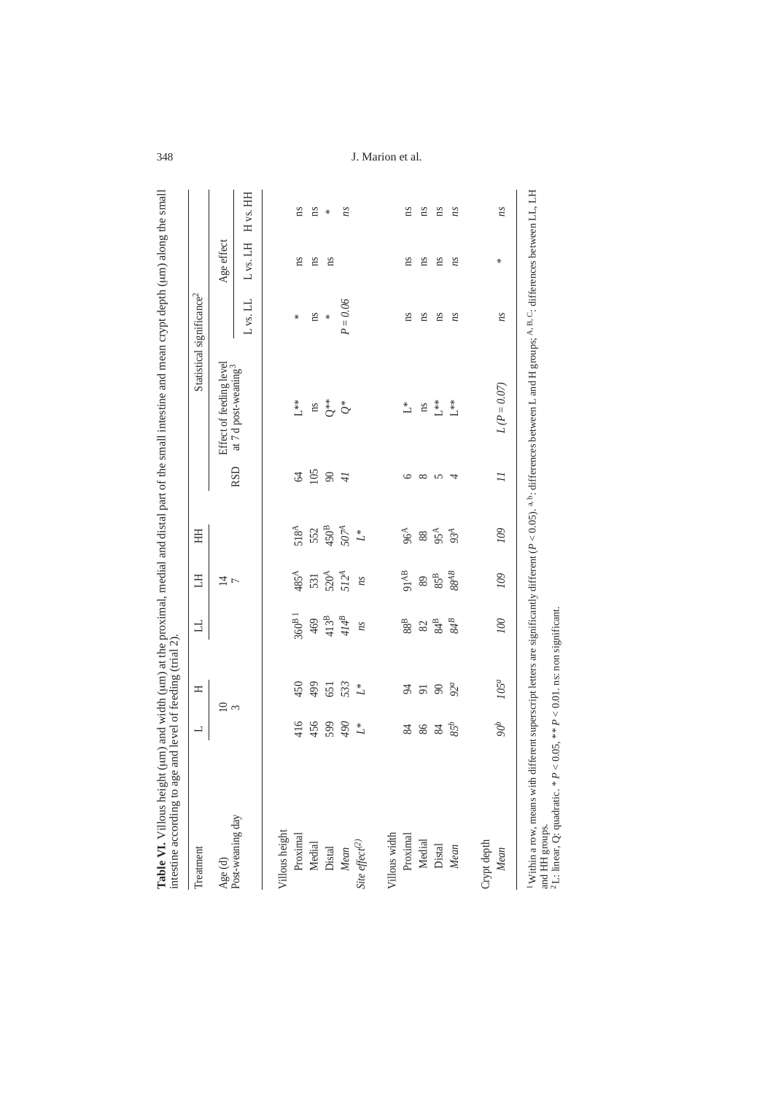| Treatment                    | $\overline{\phantom{0}}$ | Ξ                           | 口                       | H <sub>1</sub>   | HH                     |                  |                                  | Statistical significance <sup>2</sup> |              |                     |
|------------------------------|--------------------------|-----------------------------|-------------------------|------------------|------------------------|------------------|----------------------------------|---------------------------------------|--------------|---------------------|
| $Age(d)$<br>Post-weaning day |                          | $\frac{1}{3}$               |                         | $\frac{1}{4}$    |                        |                  | Effect of feeding level          |                                       | Age effect   |                     |
|                              |                          |                             |                         |                  |                        | <b>RSD</b>       | at 7 d post-weaning <sup>3</sup> | L vs. LL                              | $L$ vs. $LH$ | $H$ vs. $HH$        |
| Villous height               |                          |                             |                         |                  |                        |                  |                                  |                                       |              |                     |
| Proximal                     | 416                      | 450                         | $360^{\mathrm{B}\,1}$   | 485 <sup>A</sup> | 518 <sup>A</sup>       | 2                | $\mathbb{L}^{**}$                | ₩                                     | ns           | ns                  |
| Medial                       | 456                      | 499                         | 469                     | 531              | 552                    | 105              | $\rm m$                          | ns                                    | ns           | ns                  |
| Distal                       | 599                      | 651                         | $413^{\mathrm{B}}$      | 520 <sup>A</sup> | 450 <sup>B</sup>       | 74               |                                  | ₩                                     | ns           | $\boldsymbol{\ast}$ |
| $Mean$                       | 90                       | 533                         | $4I4^B$                 | 512 <sup>A</sup> | 5074                   |                  | $\mathring{\mathbb{O}}^*$        | $= 0.06$<br>P                         |              | ns                  |
| Site effect <sup>(2)</sup>   | $\stackrel{*}{\sqcup}$   | $\stackrel{*}{\mathcal{L}}$ | ns                      | ns               | $\stackrel{*}{\sqcup}$ |                  |                                  |                                       |              |                     |
| Villous width                |                          |                             |                         |                  |                        |                  |                                  |                                       |              |                     |
| Proximal                     |                          |                             |                         | 91AB             | $96A$                  |                  | $\overset{*}{\sqcup}$            | ns                                    | ns           | ns                  |
| Medial                       | $\frac{3}{2}$            | まままな                        | $^{88}_{\phantom{1}88}$ | $\,89$           |                        | $\circ$ $\infty$ | ns                               | ns                                    | ns           | ns                  |
| Distal                       | $\mathscr{Z}$            |                             | $84\textsuperscript{B}$ | $85\mathrm{^B}$  | $95^{\text{A}}$        | $\sim$           | $L^{**}$                         | ns                                    | ns           | ns                  |
| Mean                         | 85 <sup>b</sup>          |                             | 84B                     | $88^{AB}$        | 93 <sup>A</sup>        | $\overline{4}$   | $L^{**}$                         | ns                                    | ns           | ns                  |
| Crypt depth                  |                          |                             |                         |                  |                        |                  |                                  |                                       |              |                     |
| Mean                         | S                        | $105^a$                     | 100                     | 109              | 109                    | $\overline{1}$   | $L(P = 0.07)$                    | ns                                    | ⋇            | ns                  |

348 J. Marion et al.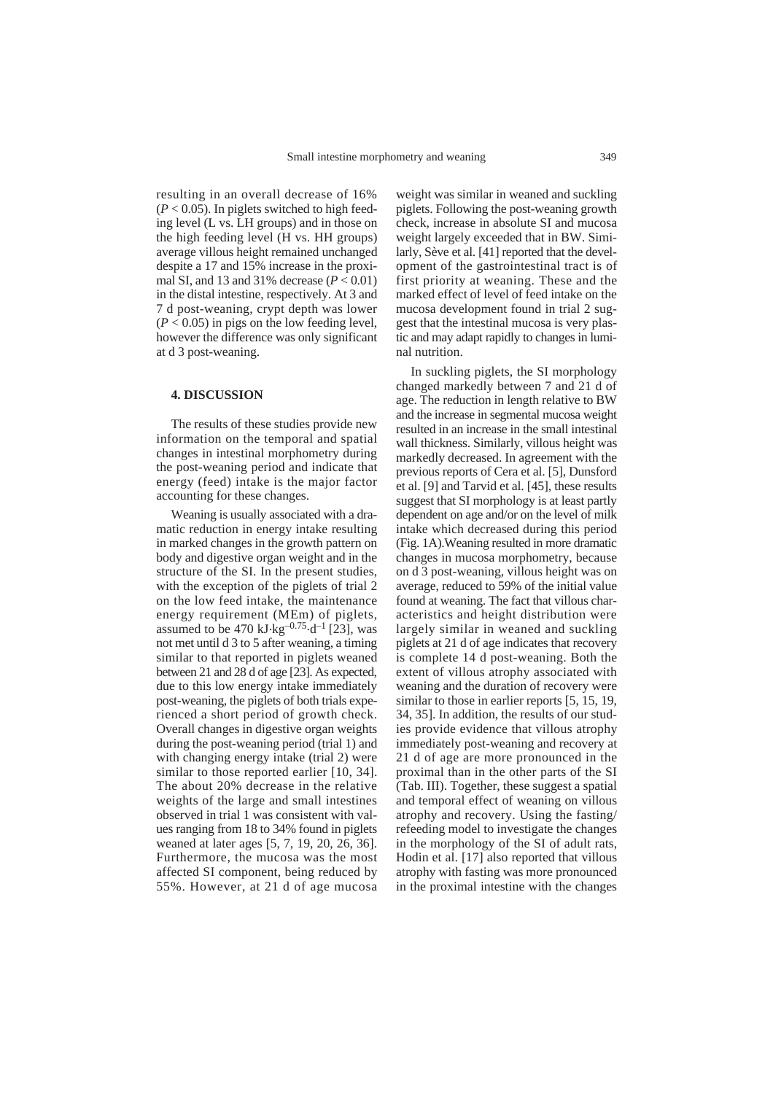resulting in an overall decrease of 16%  $(P < 0.05)$ . In piglets switched to high feeding level (L vs. LH groups) and in those on the high feeding level (H vs. HH groups) average villous height remained unchanged despite a 17 and 15% increase in the proximal SI, and 13 and 31% decrease  $(P < 0.01)$ in the distal intestine, respectively. At 3 and 7 d post-weaning, crypt depth was lower  $(P < 0.05)$  in pigs on the low feeding level, however the difference was only significant at d 3 post-weaning.

## **4. DISCUSSION**

The results of these studies provide new information on the temporal and spatial changes in intestinal morphometry during the post-weaning period and indicate that energy (feed) intake is the major factor accounting for these changes.

Weaning is usually associated with a dramatic reduction in energy intake resulting in marked changes in the growth pattern on body and digestive organ weight and in the structure of the SI. In the present studies, with the exception of the piglets of trial 2 on the low feed intake, the maintenance energy requirement (MEm) of piglets, assumed to be 470 kJ $\text{kg}^{-0.75}$  $\text{d}^{-1}$  [23], was not met until d 3 to 5 after weaning, a timing similar to that reported in piglets weaned between 21 and 28 d of age [23]. As expected, due to this low energy intake immediately post-weaning, the piglets of both trials experienced a short period of growth check. Overall changes in digestive organ weights during the post-weaning period (trial 1) and with changing energy intake (trial 2) were similar to those reported earlier [10, 34]. The about 20% decrease in the relative weights of the large and small intestines observed in trial 1 was consistent with values ranging from 18 to 34% found in piglets weaned at later ages [5, 7, 19, 20, 26, 36]. Furthermore, the mucosa was the most affected SI component, being reduced by 55%. However, at 21 d of age mucosa

weight was similar in weaned and suckling piglets. Following the post-weaning growth check, increase in absolute SI and mucosa weight largely exceeded that in BW. Similarly, Sève et al. [41] reported that the development of the gastrointestinal tract is of first priority at weaning. These and the marked effect of level of feed intake on the mucosa development found in trial 2 suggest that the intestinal mucosa is very plastic and may adapt rapidly to changes in luminal nutrition.

In suckling piglets, the SI morphology changed markedly between 7 and 21 d of age. The reduction in length relative to BW and the increase in segmental mucosa weight resulted in an increase in the small intestinal wall thickness. Similarly, villous height was markedly decreased. In agreement with the previous reports of Cera et al. [5], Dunsford et al. [9] and Tarvid et al. [45], these results suggest that SI morphology is at least partly dependent on age and/or on the level of milk intake which decreased during this period (Fig. 1A).Weaning resulted in more dramatic changes in mucosa morphometry, because on d 3 post-weaning, villous height was on average, reduced to 59% of the initial value found at weaning. The fact that villous characteristics and height distribution were largely similar in weaned and suckling piglets at 21 d of age indicates that recovery is complete 14 d post-weaning. Both the extent of villous atrophy associated with weaning and the duration of recovery were similar to those in earlier reports [5, 15, 19, 34, 35]. In addition, the results of our studies provide evidence that villous atrophy immediately post-weaning and recovery at 21 d of age are more pronounced in the proximal than in the other parts of the SI (Tab. III). Together, these suggest a spatial and temporal effect of weaning on villous atrophy and recovery. Using the fasting/ refeeding model to investigate the changes in the morphology of the SI of adult rats, Hodin et al. [17] also reported that villous atrophy with fasting was more pronounced in the proximal intestine with the changes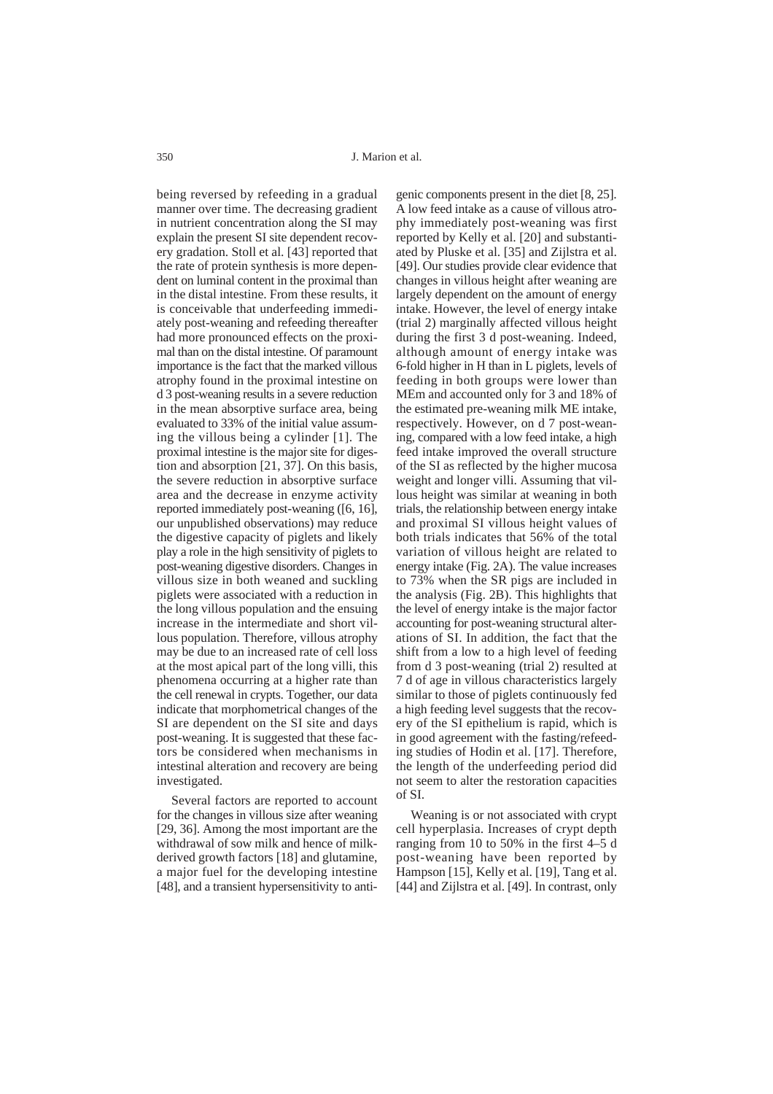J. Marion et al.

being reversed by refeeding in a gradual manner over time. The decreasing gradient in nutrient concentration along the SI may explain the present SI site dependent recovery gradation. Stoll et al. [43] reported that the rate of protein synthesis is more dependent on luminal content in the proximal than in the distal intestine. From these results, it is conceivable that underfeeding immediately post-weaning and refeeding thereafter had more pronounced effects on the proximal than on the distal intestine. Of paramount importance is the fact that the marked villous atrophy found in the proximal intestine on d 3 post-weaning results in a severe reduction in the mean absorptive surface area, being evaluated to 33% of the initial value assuming the villous being a cylinder [1]. The proximal intestine is the major site for digestion and absorption [21, 37]. On this basis, the severe reduction in absorptive surface area and the decrease in enzyme activity reported immediately post-weaning ([6, 16], our unpublished observations) may reduce the digestive capacity of piglets and likely play a role in the high sensitivity of piglets to post-weaning digestive disorders. Changes in villous size in both weaned and suckling piglets were associated with a reduction in the long villous population and the ensuing increase in the intermediate and short villous population. Therefore, villous atrophy may be due to an increased rate of cell loss at the most apical part of the long villi, this phenomena occurring at a higher rate than the cell renewal in crypts. Together, our data indicate that morphometrical changes of the SI are dependent on the SI site and days post-weaning. It is suggested that these factors be considered when mechanisms in intestinal alteration and recovery are being investigated.

Several factors are reported to account for the changes in villous size after weaning [29, 36]. Among the most important are the withdrawal of sow milk and hence of milkderived growth factors [18] and glutamine, a major fuel for the developing intestine [48], and a transient hypersensitivity to anti-

genic components present in the diet [8, 25]. A low feed intake as a cause of villous atrophy immediately post-weaning was first reported by Kelly et al. [20] and substantiated by Pluske et al. [35] and Zijlstra et al. [49]. Our studies provide clear evidence that changes in villous height after weaning are largely dependent on the amount of energy intake. However, the level of energy intake (trial 2) marginally affected villous height during the first 3 d post-weaning. Indeed, although amount of energy intake was 6-fold higher in H than in L piglets, levels of feeding in both groups were lower than MEm and accounted only for 3 and 18% of the estimated pre-weaning milk ME intake, respectively. However, on d 7 post-weaning, compared with a low feed intake, a high feed intake improved the overall structure of the SI as reflected by the higher mucosa weight and longer villi. Assuming that villous height was similar at weaning in both trials, the relationship between energy intake and proximal SI villous height values of both trials indicates that 56% of the total variation of villous height are related to energy intake (Fig. 2A). The value increases to 73% when the SR pigs are included in the analysis (Fig. 2B). This highlights that the level of energy intake is the major factor accounting for post-weaning structural alterations of SI. In addition, the fact that the shift from a low to a high level of feeding from d 3 post-weaning (trial 2) resulted at 7 d of age in villous characteristics largely similar to those of piglets continuously fed a high feeding level suggests that the recovery of the SI epithelium is rapid, which is in good agreement with the fasting/refeeding studies of Hodin et al. [17]. Therefore, the length of the underfeeding period did not seem to alter the restoration capacities of SI.

Weaning is or not associated with crypt cell hyperplasia. Increases of crypt depth ranging from 10 to 50% in the first 4–5 d post-weaning have been reported by Hampson [15], Kelly et al. [19], Tang et al. [44] and Zijlstra et al. [49]. In contrast, only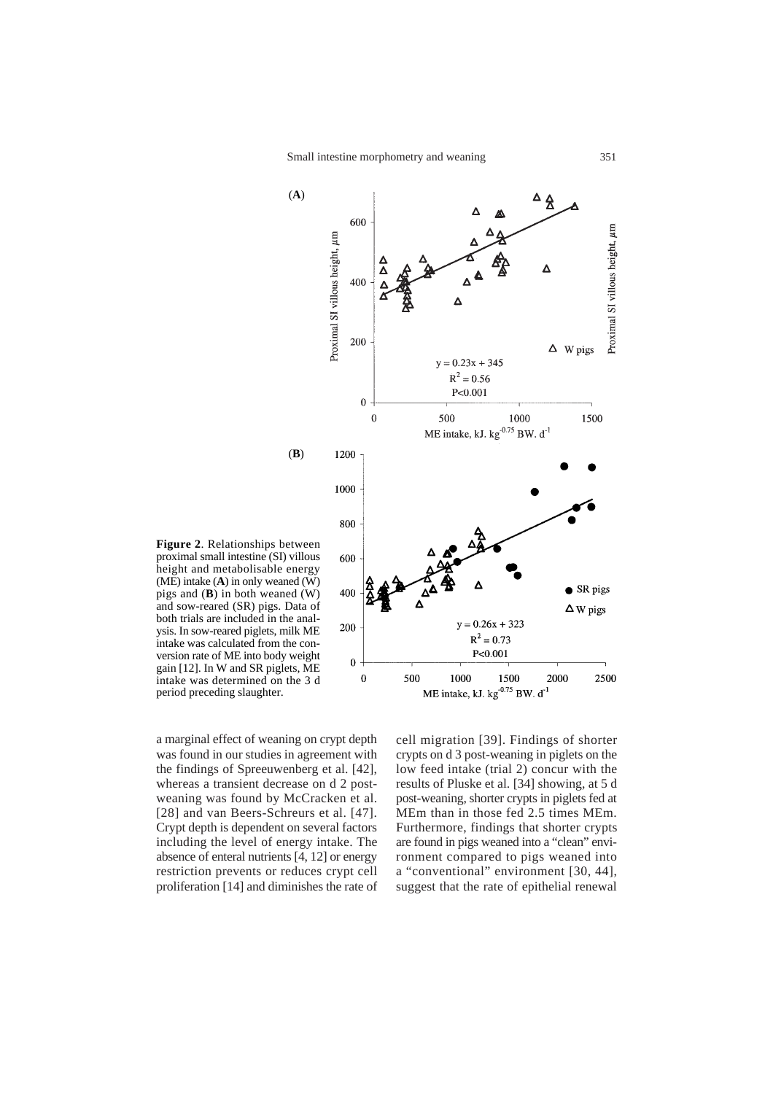

**Figure 2**. Relationships between proximal small intestine (SI) villous height and metabolisable energy (ME) intake (**A**) in only weaned (W) pigs and (**B**) in both weaned (W) and sow-reared (SR) pigs. Data of both trials are included in the analysis. In sow-reared piglets, milk ME intake was calculated from the conversion rate of ME into body weight gain [12]. In W and SR piglets, ME intake was determined on the 3 d period preceding slaughter.

a marginal effect of weaning on crypt depth was found in our studies in agreement with the findings of Spreeuwenberg et al. [42], whereas a transient decrease on d 2 postweaning was found by McCracken et al. [28] and van Beers-Schreurs et al. [47]. Crypt depth is dependent on several factors including the level of energy intake. The absence of enteral nutrients [4, 12] or energy restriction prevents or reduces crypt cell proliferation [14] and diminishes the rate of

cell migration [39]. Findings of shorter crypts on d 3 post-weaning in piglets on the low feed intake (trial 2) concur with the results of Pluske et al. [34] showing, at 5 d post-weaning, shorter crypts in piglets fed at MEm than in those fed 2.5 times MEm. Furthermore, findings that shorter crypts are found in pigs weaned into a "clean" environment compared to pigs weaned into a "conventional" environment [30, 44], suggest that the rate of epithelial renewal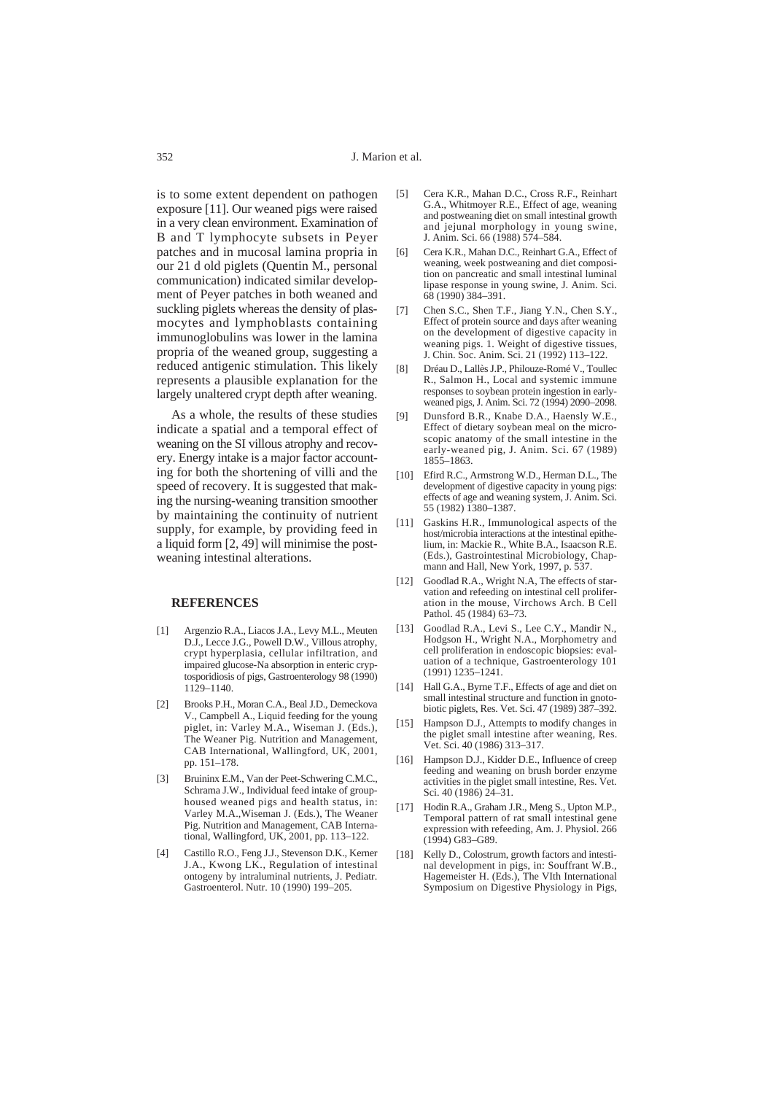is to some extent dependent on pathogen exposure [11]. Our weaned pigs were raised in a very clean environment. Examination of B and T lymphocyte subsets in Peyer patches and in mucosal lamina propria in our 21 d old piglets (Quentin M., personal communication) indicated similar development of Peyer patches in both weaned and suckling piglets whereas the density of plasmocytes and lymphoblasts containing immunoglobulins was lower in the lamina propria of the weaned group, suggesting a reduced antigenic stimulation. This likely represents a plausible explanation for the largely unaltered crypt depth after weaning.

As a whole, the results of these studies indicate a spatial and a temporal effect of weaning on the SI villous atrophy and recovery. Energy intake is a major factor accounting for both the shortening of villi and the speed of recovery. It is suggested that making the nursing-weaning transition smoother by maintaining the continuity of nutrient supply, for example, by providing feed in a liquid form [2, 49] will minimise the postweaning intestinal alterations.

# **REFERENCES**

- [1] Argenzio R.A., Liacos J.A., Levy M.L., Meuten D.J., Lecce J.G., Powell D.W., Villous atrophy, crypt hyperplasia, cellular infiltration, and impaired glucose-Na absorption in enteric cryptosporidiosis of pigs, Gastroenterology 98 (1990) 1129–1140.
- [2] Brooks P.H., Moran C.A., Beal J.D., Demeckova V., Campbell A., Liquid feeding for the young piglet, in: Varley M.A., Wiseman J. (Eds.), The Weaner Pig. Nutrition and Management, CAB International, Wallingford, UK, 2001, pp. 151–178.
- [3] Bruininx E.M., Van der Peet-Schwering C.M.C., Schrama J.W., Individual feed intake of grouphoused weaned pigs and health status, in: Varley M.A.,Wiseman J. (Eds.), The Weaner Pig. Nutrition and Management, CAB International, Wallingford, UK, 2001, pp. 113–122.
- [4] Castillo R.O., Feng J.J., Stevenson D.K., Kerner J.A., Kwong LK., Regulation of intestinal ontogeny by intraluminal nutrients, J. Pediatr. Gastroenterol. Nutr. 10 (1990) 199–205.
- [5] Cera K.R., Mahan D.C., Cross R.F., Reinhart G.A., Whitmoyer R.E., Effect of age, weaning and postweaning diet on small intestinal growth and jejunal morphology in young swine. J. Anim. Sci. 66 (1988) 574–584.
- [6] Cera K.R., Mahan D.C., Reinhart G.A., Effect of weaning, week postweaning and diet composition on pancreatic and small intestinal luminal lipase response in young swine, J. Anim. Sci. 68 (1990) 384–391.
- [7] Chen S.C., Shen T.F., Jiang Y.N., Chen S.Y., Effect of protein source and days after weaning on the development of digestive capacity in weaning pigs. 1. Weight of digestive tissues, J. Chin. Soc. Anim. Sci. 21 (1992) 113–122.
- [8] Dréau D., Lallès J.P., Philouze-Romé V., Toullec R., Salmon H., Local and systemic immune responses to soybean protein ingestion in earlyweaned pigs, J. Anim. Sci. 72 (1994) 2090–2098.
- [9] Dunsford B.R., Knabe D.A., Haensly W.E., Effect of dietary soybean meal on the microscopic anatomy of the small intestine in the early-weaned pig, J. Anim. Sci. 67 (1989) 1855–1863.
- [10] Efird R.C., Armstrong W.D., Herman D.L., The development of digestive capacity in young pigs: effects of age and weaning system, J. Anim. Sci. 55 (1982) 1380–1387.
- [11] Gaskins H.R., Immunological aspects of the host/microbia interactions at the intestinal epithelium, in: Mackie R., White B.A., Isaacson R.E. (Eds.), Gastrointestinal Microbiology, Chapmann and Hall, New York, 1997, p. 537.
- [12] Goodlad R.A., Wright N.A, The effects of starvation and refeeding on intestinal cell proliferation in the mouse, Virchows Arch. B Cell Pathol. 45 (1984) 63–73.
- [13] Goodlad R.A., Levi S., Lee C.Y., Mandir N., Hodgson H., Wright N.A., Morphometry and cell proliferation in endoscopic biopsies: evaluation of a technique, Gastroenterology 101 (1991) 1235–1241.
- [14] Hall G.A., Byrne T.F., Effects of age and diet on small intestinal structure and function in gnotobiotic piglets, Res. Vet. Sci. 47 (1989) 387–392.
- [15] Hampson D.J., Attempts to modify changes in the piglet small intestine after weaning, Res. Vet. Sci. 40 (1986) 313–317.
- [16] Hampson D.J., Kidder D.E., Influence of creep feeding and weaning on brush border enzyme activities in the piglet small intestine, Res. Vet. Sci. 40 (1986) 24–31.
- [17] Hodin R.A., Graham J.R., Meng S., Upton M.P., Temporal pattern of rat small intestinal gene expression with refeeding, Am. J. Physiol. 266 (1994) G83–G89.
- [18] Kelly D., Colostrum, growth factors and intestinal development in pigs, in: Souffrant W.B., Hagemeister H. (Eds.), The VIth International Symposium on Digestive Physiology in Pigs,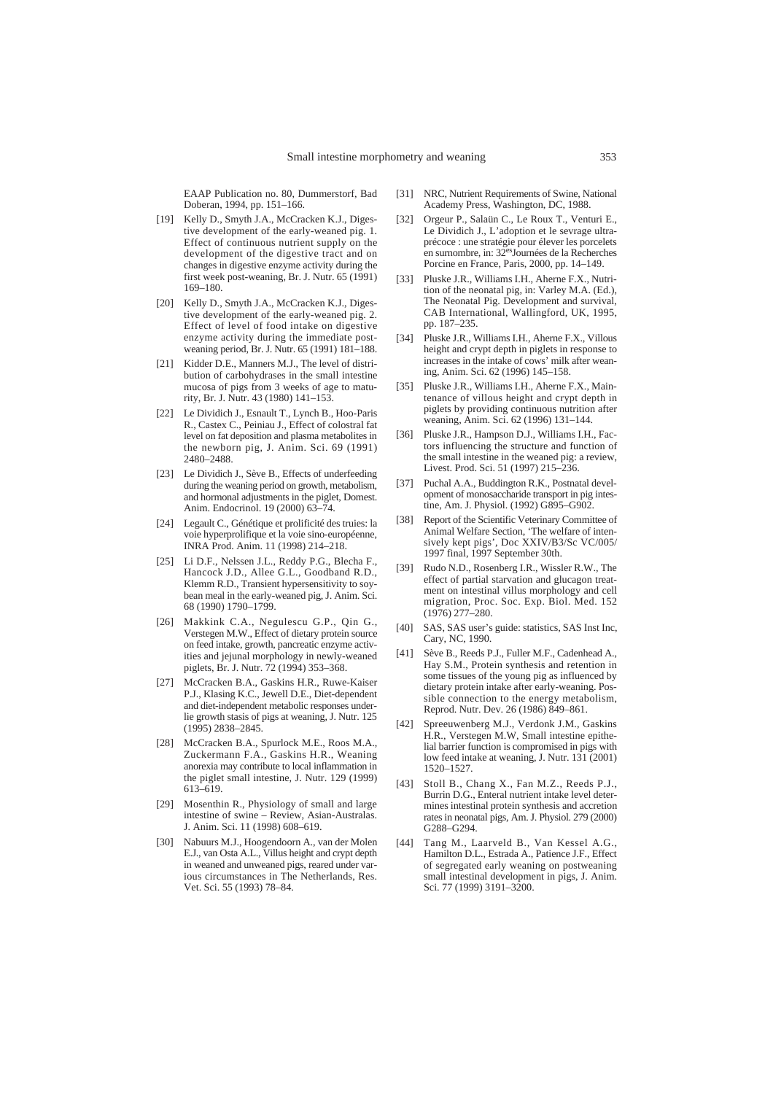EAAP Publication no. 80, Dummerstorf, Bad Doberan, 1994, pp. 151–166.

- [19] Kelly D., Smyth J.A., McCracken K.J., Digestive development of the early-weaned pig. 1. Effect of continuous nutrient supply on the development of the digestive tract and on changes in digestive enzyme activity during the first week post-weaning, Br. J. Nutr. 65 (1991) 169–180.
- [20] Kelly D., Smyth J.A., McCracken K.J., Digestive development of the early-weaned pig. 2. Effect of level of food intake on digestive enzyme activity during the immediate postweaning period, Br. J. Nutr. 65 (1991) 181–188.
- [21] Kidder D.E., Manners M.J., The level of distribution of carbohydrases in the small intestine mucosa of pigs from 3 weeks of age to maturity, Br. J. Nutr. 43 (1980) 141–153.
- [22] Le Dividich J., Esnault T., Lynch B., Hoo-Paris R., Castex C., Peiniau J., Effect of colostral fat level on fat deposition and plasma metabolites in the newborn pig, J. Anim. Sci. 69 (1991) 2480–2488.
- [23] Le Dividich J., Sève B., Effects of underfeeding during the weaning period on growth, metabolism, and hormonal adjustments in the piglet, Domest. Anim. Endocrinol. 19 (2000) 63–74.
- [24] Legault C., Génétique et prolificité des truies: la voie hyperprolifique et la voie sino-européenne, INRA Prod. Anim. 11 (1998) 214–218.
- [25] Li D.F., Nelssen J.L., Reddy P.G., Blecha F., Hancock J.D., Allee G.L., Goodband R.D., Klemm R.D., Transient hypersensitivity to soybean meal in the early-weaned pig, J. Anim. Sci. 68 (1990) 1790–1799.
- [26] Makkink C.A., Negulescu G.P., Qin G., Verstegen M.W., Effect of dietary protein source on feed intake, growth, pancreatic enzyme activities and jejunal morphology in newly-weaned piglets, Br. J. Nutr. 72 (1994) 353–368.
- [27] McCracken B.A., Gaskins H.R., Ruwe-Kaiser P.J., Klasing K.C., Jewell D.E., Diet-dependent and diet-independent metabolic responses underlie growth stasis of pigs at weaning, J. Nutr. 125 (1995) 2838–2845.
- [28] McCracken B.A., Spurlock M.E., Roos M.A., Zuckermann F.A., Gaskins H.R., Weaning anorexia may contribute to local inflammation in the piglet small intestine, J. Nutr. 129 (1999) 613–619.
- [29] Mosenthin R., Physiology of small and large intestine of swine – Review, Asian-Australas. J. Anim. Sci. 11 (1998) 608–619.
- [30] Nabuurs M.J., Hoogendoorn A., van der Molen E.J., van Osta A.L., Villus height and crypt depth in weaned and unweaned pigs, reared under various circumstances in The Netherlands, Res. Vet. Sci. 55 (1993) 78–84.
- [31] NRC, Nutrient Requirements of Swine, National Academy Press, Washington, DC, 1988.
- [32] Orgeur P., Salaün C., Le Roux T., Venturi E., Le Dividich J., L'adoption et le sevrage ultraprécoce : une stratégie pour élever les porcelets<br>en surnombre, in: 32<sup>es</sup>Journées de la Recherches Porcine en France, Paris, 2000, pp. 14–149.
- [33] Pluske J.R., Williams I.H., Aherne F.X., Nutrition of the neonatal pig, in: Varley M.A. (Ed.), The Neonatal Pig. Development and survival, CAB International, Wallingford, UK, 1995, pp. 187–235.
- [34] Pluske J.R., Williams I.H., Aherne F.X., Villous height and crypt depth in piglets in response to increases in the intake of cows' milk after weaning, Anim. Sci. 62 (1996) 145–158.
- [35] Pluske J.R., Williams I.H., Aherne F.X., Maintenance of villous height and crypt depth in piglets by providing continuous nutrition after weaning, Anim. Sci. 62 (1996) 131–144.
- [36] Pluske J.R., Hampson D.J., Williams I.H., Factors influencing the structure and function of the small intestine in the weaned pig: a review, Livest. Prod. Sci. 51 (1997) 215–236.
- [37] Puchal A.A., Buddington R.K., Postnatal development of monosaccharide transport in pig intestine, Am. J. Physiol. (1992) G895–G902.
- [38] Report of the Scientific Veterinary Committee of Animal Welfare Section, 'The welfare of intensively kept pigs', Doc XXIV/B3/Sc VC/005/ 1997 final, 1997 September 30th.
- [39] Rudo N.D., Rosenberg I.R., Wissler R.W., The effect of partial starvation and glucagon treatment on intestinal villus morphology and cell migration, Proc. Soc. Exp. Biol. Med. 152 (1976) 277–280.
- [40] SAS, SAS user's guide: statistics, SAS Inst Inc, Cary, NC, 1990.
- [41] Sève B., Reeds P.J., Fuller M.F., Cadenhead A., Hay S.M., Protein synthesis and retention in some tissues of the young pig as influenced by dietary protein intake after early-weaning. Possible connection to the energy metabolism, Reprod. Nutr. Dev. 26 (1986) 849–861.
- [42] Spreeuwenberg M.J., Verdonk J.M., Gaskins H.R., Verstegen M.W, Small intestine epithelial barrier function is compromised in pigs with low feed intake at weaning, J. Nutr. 131 (2001) 1520–1527.
- Stoll B., Chang X., Fan M.Z., Reeds P.J., Burrin D.G., Enteral nutrient intake level determines intestinal protein synthesis and accretion rates in neonatal pigs, Am. J. Physiol. 279 (2000) G288–G294.
- [44] Tang M., Laarveld B., Van Kessel A.G., Hamilton D.L., Estrada A., Patience J.F., Effect of segregated early weaning on postweaning small intestinal development in pigs, J. Anim. Sci. 77 (1999) 3191–3200.